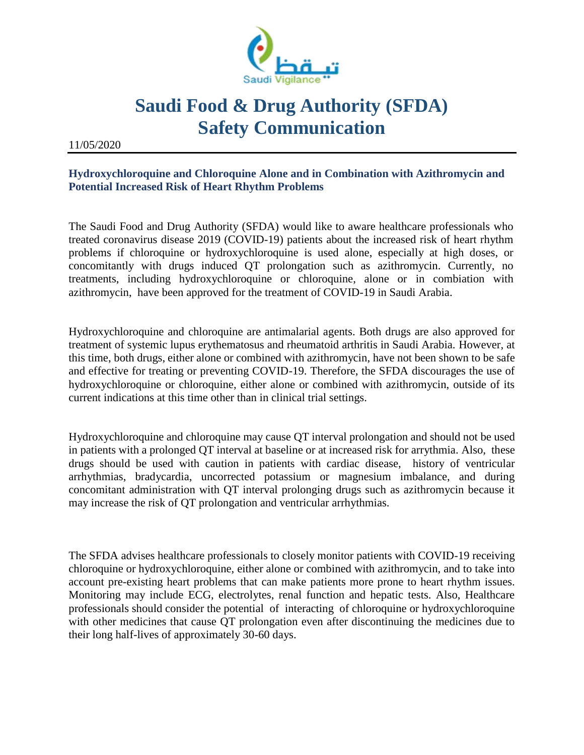

## **Saudi Food & Drug Authority (SFDA) Safety Communication**

11/05/2020

## **Hydroxychloroquine and Chloroquine Alone and in Combination with Azithromycin and Potential Increased Risk of Heart Rhythm Problems**

The Saudi Food and Drug Authority (SFDA) would like to aware healthcare professionals who treated coronavirus disease 2019 (COVID-19) patients about the increased risk of heart rhythm problems if chloroquine or hydroxychloroquine is used alone, especially at high doses, or concomitantly with drugs induced QT prolongation such as azithromycin. Currently, no treatments, including hydroxychloroquine or chloroquine, alone or in combiation with azithromycin, have been approved for the treatment of COVID-19 in Saudi Arabia.

Hydroxychloroquine and chloroquine are antimalarial agents. Both drugs are also approved for treatment of systemic lupus erythematosus and rheumatoid arthritis in Saudi Arabia. However, at this time, both drugs, either alone or combined with azithromycin, have not been shown to be safe and effective for treating or preventing COVID-19. Therefore, the SFDA discourages the use of hydroxychloroquine or chloroquine, either alone or combined with azithromycin, outside of its current indications at this time other than in clinical trial settings.

Hydroxychloroquine and chloroquine may cause QT interval prolongation and should not be used in patients with a prolonged QT interval at baseline or at increased risk for arrythmia. Also, these drugs should be used with caution in patients with cardiac disease, history of ventricular arrhythmias, bradycardia, uncorrected potassium or magnesium imbalance, and during concomitant administration with QT interval prolonging drugs such as azithromycin because it may increase the risk of QT prolongation and ventricular arrhythmias.

The SFDA advises healthcare professionals to closely monitor patients with COVID-19 receiving chloroquine or hydroxychloroquine, either alone or combined with azithromycin, and to take into account pre-existing heart problems that can make patients more prone to heart rhythm issues. Monitoring may include ECG, electrolytes, renal function and hepatic tests. Also, Healthcare professionals should consider the potential of interacting of chloroquine or hydroxychloroquine with other medicines that cause QT prolongation even after discontinuing the medicines due to their long half-lives of approximately 30-60 days.